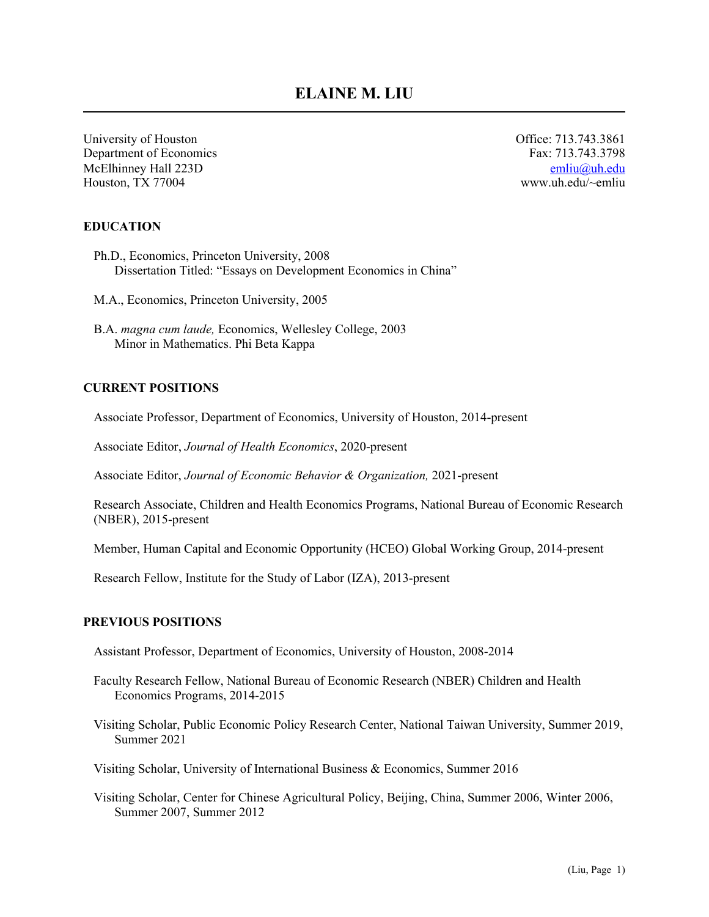University of Houston Office: 713.743.3861 Department of Economics Fax: 713.743.3798 McElhinney Hall 223D [emliu@uh.edu](mailto:emliu@uh.edu) Houston, TX 77004 www.uh.edu/~emliu

#### **EDUCATION**

- Ph.D., Economics, Princeton University, 2008 Dissertation Titled: "Essays on Development Economics in China"
- M.A., Economics, Princeton University, 2005
- B.A. *magna cum laude,* Economics, Wellesley College, 2003 Minor in Mathematics. Phi Beta Kappa

#### **CURRENT POSITIONS**

Associate Professor, Department of Economics, University of Houston, 2014-present

Associate Editor, *Journal of Health Economics*, 2020-present

Associate Editor, *Journal of Economic Behavior & Organization,* 2021-present

Research Associate, Children and Health Economics Programs, National Bureau of Economic Research (NBER), 2015-present

Member, Human Capital and Economic Opportunity (HCEO) Global Working Group, 2014-present

Research Fellow, Institute for the Study of Labor (IZA), 2013-present

#### **PREVIOUS POSITIONS**

Assistant Professor, Department of Economics, University of Houston, 2008-2014

- Faculty Research Fellow, National Bureau of Economic Research (NBER) Children and Health Economics Programs, 2014-2015
- Visiting Scholar, Public Economic Policy Research Center, National Taiwan University, Summer 2019, Summer 2021

Visiting Scholar, University of International Business & Economics, Summer 2016

Visiting Scholar, Center for Chinese Agricultural Policy, Beijing, China, Summer 2006, Winter 2006, Summer 2007, Summer 2012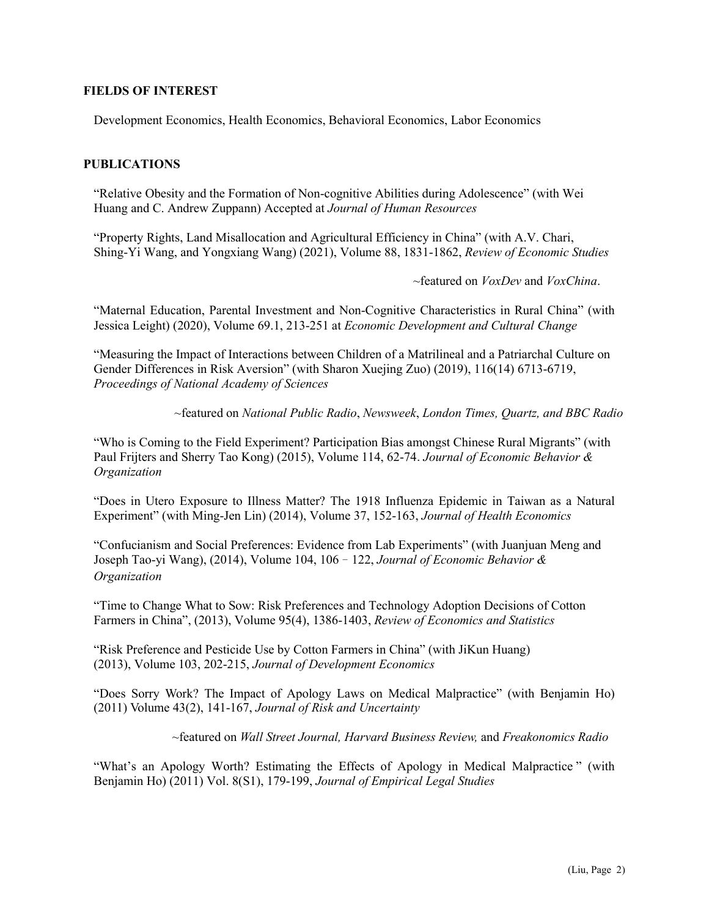#### **FIELDS OF INTEREST**

Development Economics, Health Economics, Behavioral Economics, Labor Economics

#### **PUBLICATIONS**

"Relative Obesity and the Formation of Non-cognitive Abilities during Adolescence" (with Wei Huang and C. Andrew Zuppann) Accepted at *Journal of Human Resources*

"Property Rights, Land Misallocation and Agricultural Efficiency in China" (with A.V. Chari, Shing-Yi Wang, and Yongxiang Wang) (2021), Volume 88, 1831-1862, *Review of Economic Studies*

~featured on *VoxDev* and *VoxChina*.

"Maternal Education, Parental Investment and Non-Cognitive Characteristics in Rural China" (with Jessica Leight) (2020), Volume 69.1, 213-251 at *Economic Development and Cultural Change*

"Measuring the Impact of Interactions between Children of a Matrilineal and a Patriarchal Culture on Gender Differences in Risk Aversion" (with Sharon Xuejing Zuo) (2019), 116(14) 6713-6719, *Proceedings of National Academy of Sciences*

~featured on *National Public Radio*, *Newsweek*, *London Times, Quartz, and BBC Radio*

"Who is Coming to the Field Experiment? Participation Bias amongst Chinese Rural Migrants" (with Paul Frijters and Sherry Tao Kong) (2015), Volume 114, 62-74. *Journal of Economic Behavior & Organization*

"Does in Utero Exposure to Illness Matter? The 1918 Influenza Epidemic in Taiwan as a Natural Experiment" (with Ming-Jen Lin) (2014), Volume 37, 152-163, *Journal of Health Economics*

"Confucianism and Social Preferences: Evidence from Lab Experiments" (with Juanjuan Meng and Joseph Tao-yi Wang), (2014), [Volume 104,](http://www.sciencedirect.com/science/journal/01672681/104/supp/C) 106–122, *Journal of Economic Behavior & Organization* 

"Time to Change What to Sow: Risk Preferences and Technology Adoption Decisions of Cotton Farmers in China", (2013), Volume 95(4), 1386-1403, *Review of Economics and Statistics*

"Risk Preference and Pesticide Use by Cotton Farmers in China" (with JiKun Huang) (2013), Volume 103, 202-215, *Journal of Development Economics*

"Does Sorry Work? The Impact of Apology Laws on Medical Malpractice" (with Benjamin Ho) (2011) Volume 43(2), 141-167, *Journal of Risk and Uncertainty*

~featured on *Wall Street Journal, Harvard Business Review,* and *Freakonomics Radio*

["What's an Apology Worth? Estimating the Effects of Apology in Medical Malpractice](http://www.class.uh.edu/econ/faculty/emliu/Value-of-Apology.pdf) " (with Benjamin Ho) (2011) Vol. 8(S1), 179-199, *Journal of Empirical Legal Studies*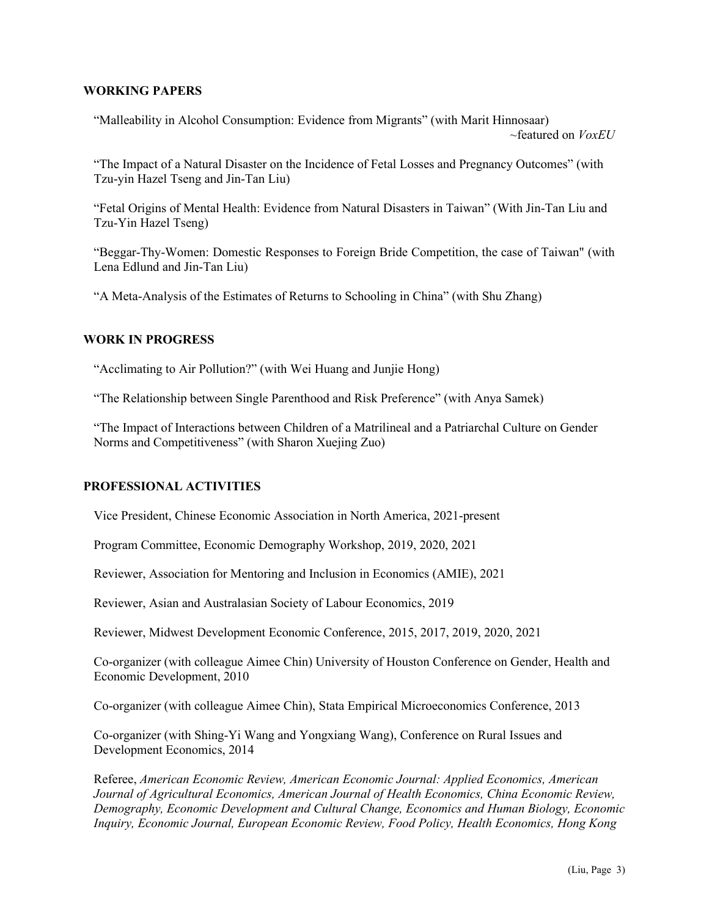### **WORKING PAPERS**

"Malleability in Alcohol Consumption: Evidence from Migrants" (with Marit Hinnosaar) ~featured on *VoxEU*

"The Impact of a Natural Disaster on the Incidence of Fetal Losses and Pregnancy Outcomes" (with Tzu-yin Hazel Tseng and Jin-Tan Liu)

"Fetal Origins of Mental Health: Evidence from Natural Disasters in Taiwan" (With Jin-Tan Liu and Tzu-Yin Hazel Tseng)

"Beggar-Thy-Women: Domestic Responses to Foreign Bride Competition, the case of Taiwan" (with Lena Edlund and Jin-Tan Liu)

"A Meta-Analysis of the Estimates of Returns to Schooling in China" (with Shu Zhang)

### **WORK IN PROGRESS**

"Acclimating to Air Pollution?" (with Wei Huang and Junjie Hong)

"The Relationship between Single Parenthood and Risk Preference" (with Anya Samek)

"The Impact of Interactions between Children of a Matrilineal and a Patriarchal Culture on Gender Norms and Competitiveness" (with Sharon Xuejing Zuo)

#### **PROFESSIONAL ACTIVITIES**

Vice President, Chinese Economic Association in North America, 2021-present

Program Committee, Economic Demography Workshop, 2019, 2020, 2021

Reviewer, Association for Mentoring and Inclusion in Economics (AMIE), 2021

Reviewer, Asian and Australasian Society of Labour Economics, 2019

Reviewer, Midwest Development Economic Conference, 2015, 2017, 2019, 2020, 2021

Co-organizer (with colleague Aimee Chin) University of Houston Conference on Gender, Health and Economic Development, 2010

Co-organizer (with colleague Aimee Chin), Stata Empirical Microeconomics Conference, 2013

Co-organizer (with Shing-Yi Wang and Yongxiang Wang), Conference on Rural Issues and Development Economics, 2014

Referee, *American Economic Review, American Economic Journal: Applied Economics, American Journal of Agricultural Economics, American Journal of Health Economics, China Economic Review, Demography, Economic Development and Cultural Change, Economics and Human Biology, Economic Inquiry, Economic Journal, European Economic Review, Food Policy, Health Economics, Hong Kong*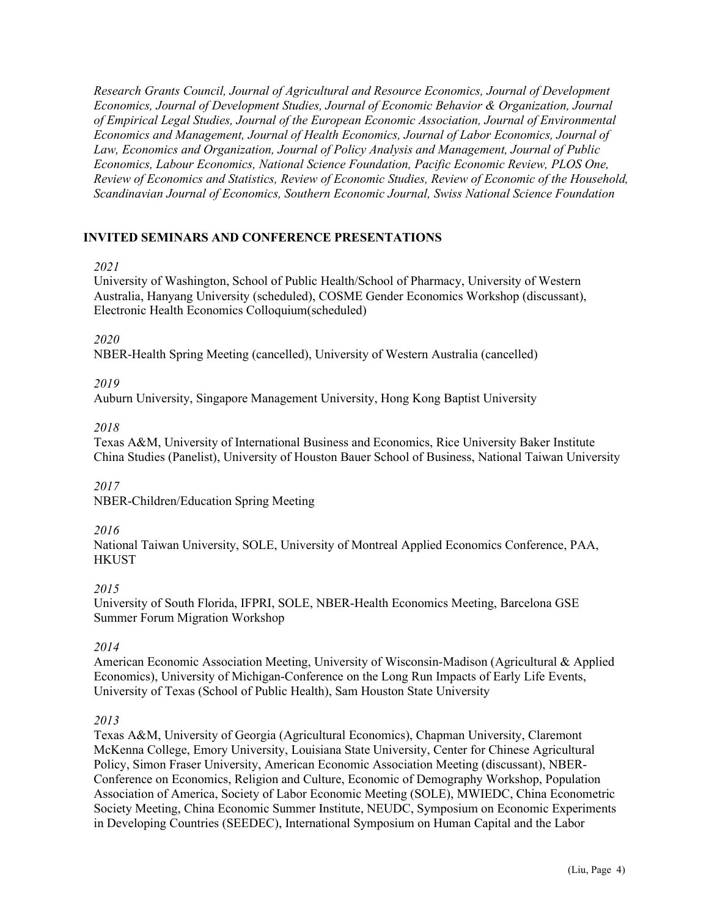*Research Grants Council, Journal of Agricultural and Resource Economics, Journal of Development Economics, Journal of Development Studies, Journal of Economic Behavior & Organization, Journal of Empirical Legal Studies, Journal of the European Economic Association, Journal of Environmental Economics and Management, Journal of Health Economics, Journal of Labor Economics, Journal of Law, Economics and Organization, Journal of Policy Analysis and Management, Journal of Public Economics, Labour Economics, National Science Foundation, Pacific Economic Review, PLOS One, Review of Economics and Statistics, Review of Economic Studies, Review of Economic of the Household, Scandinavian Journal of Economics, Southern Economic Journal, Swiss National Science Foundation*

# **INVITED SEMINARS AND CONFERENCE PRESENTATIONS**

# *2021*

University of Washington, School of Public Health/School of Pharmacy, University of Western Australia, Hanyang University (scheduled), COSME Gender Economics Workshop (discussant), Electronic Health Economics Colloquium(scheduled)

# *2020*

NBER-Health Spring Meeting (cancelled), University of Western Australia (cancelled)

# *2019*

Auburn University, Singapore Management University, Hong Kong Baptist University

# *2018*

Texas A&M, University of International Business and Economics, Rice University Baker Institute China Studies (Panelist), University of Houston Bauer School of Business, National Taiwan University

# *2017*

NBER-Children/Education Spring Meeting

# *2016*

National Taiwan University, SOLE, University of Montreal Applied Economics Conference, PAA, **HKUST** 

# *2015*

University of South Florida, IFPRI, SOLE, NBER-Health Economics Meeting, Barcelona GSE Summer Forum Migration Workshop

# *2014*

American Economic Association Meeting, University of Wisconsin-Madison (Agricultural & Applied Economics), University of Michigan-Conference on the Long Run Impacts of Early Life Events, University of Texas (School of Public Health), Sam Houston State University

# *2013*

Texas A&M, University of Georgia (Agricultural Economics), Chapman University, Claremont McKenna College, Emory University, Louisiana State University, Center for Chinese Agricultural Policy, Simon Fraser University, American Economic Association Meeting (discussant), NBER-Conference on Economics, Religion and Culture, Economic of Demography Workshop, Population Association of America, Society of Labor Economic Meeting (SOLE), MWIEDC, China Econometric Society Meeting, China Economic Summer Institute, NEUDC, Symposium on Economic Experiments in Developing Countries (SEEDEC), International Symposium on Human Capital and the Labor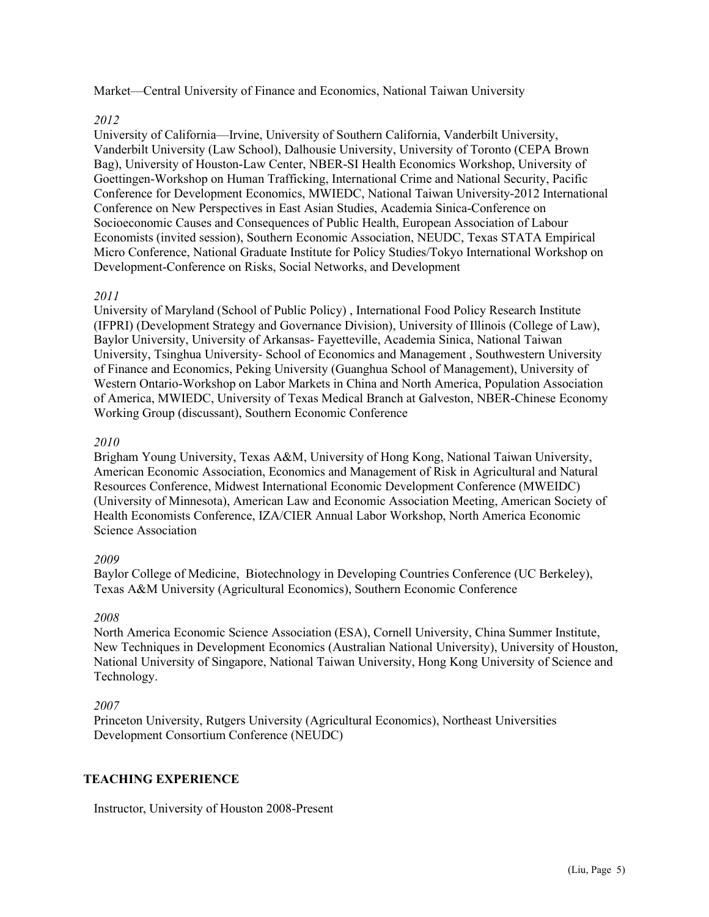Market—Central University of Finance and Economics, National Taiwan University

# *2012*

University of California—Irvine, University of Southern California, Vanderbilt University, Vanderbilt University (Law School), Dalhousie University, University of Toronto (CEPA Brown Bag), University of Houston-Law Center, NBER-SI Health Economics Workshop, University of Goettingen-Workshop on Human Trafficking, International Crime and National Security, Pacific Conference for Development Economics, MWIEDC, National Taiwan University-2012 International Conference on New Perspectives in East Asian Studies, Academia Sinica-Conference on Socioeconomic Causes and Consequences of Public Health, European Association of Labour Economists (invited session), Southern Economic Association, NEUDC, Texas STATA Empirical Micro Conference, National Graduate Institute for Policy Studies/Tokyo International Workshop on Development-Conference on Risks, Social Networks, and Development

#### *2011*

University of Maryland (School of Public Policy) , International Food Policy Research Institute (IFPRI) [\(Development Strategy and Governance](http://www.ifpri.org/category/development-strategy-and-governance) Division), University of Illinois (College of Law), Baylor University, University of Arkansas- Fayetteville, Academia Sinica, National Taiwan University, Tsinghua University- School of Economics and Management , Southwestern University of Finance and Economics, Peking University (Guanghua School of Management), University of Western Ontario-Workshop on Labor Markets in China and North America, Population Association of America, MWIEDC, University of Texas Medical Branch at Galveston, NBER-Chinese Economy Working Group (discussant), Southern Economic Conference

#### *2010*

Brigham Young University, Texas A&M, University of Hong Kong, National Taiwan University, American Economic Association, Economics and Management of Risk in Agricultural and Natural Resources Conference, Midwest International Economic Development Conference (MWEIDC) (University of Minnesota), American Law and Economic Association Meeting, American Society of Health Economists Conference, IZA/CIER Annual Labor Workshop, North America Economic Science Association

#### *2009*

Baylor College of Medicine, Biotechnology in Developing Countries Conference (UC Berkeley), Texas A&M University (Agricultural Economics), Southern Economic Conference

# *2008*

North America Economic Science Association (ESA), Cornell University, China Summer Institute, New Techniques in Development Economics (Australian National University), University of Houston, National University of Singapore, National Taiwan University, Hong Kong University of Science and Technology.

# *2007*

Princeton University, Rutgers University (Agricultural Economics), Northeast Universities Development Consortium Conference (NEUDC)

# **TEACHING EXPERIENCE**

Instructor, University of Houston 2008-Present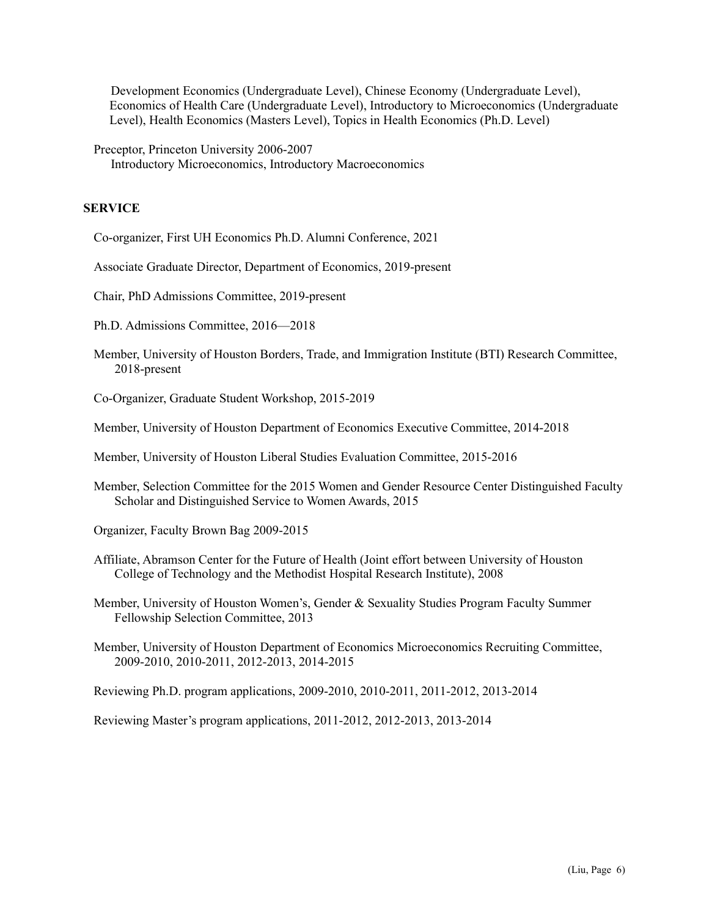Development Economics (Undergraduate Level), Chinese Economy (Undergraduate Level), Economics of Health Care (Undergraduate Level), Introductory to Microeconomics (Undergraduate Level), Health Economics (Masters Level), Topics in Health Economics (Ph.D. Level)

Preceptor, Princeton University 2006-2007 Introductory Microeconomics, Introductory Macroeconomics

### **SERVICE**

Co-organizer, First UH Economics Ph.D. Alumni Conference, 2021

Associate Graduate Director, Department of Economics, 2019-present

Chair, PhD Admissions Committee, 2019-present

Ph.D. Admissions Committee, 2016—2018

Member, University of Houston Borders, Trade, and Immigration Institute (BTI) Research Committee, 2018-present

Co-Organizer, Graduate Student Workshop, 2015-2019

Member, University of Houston Department of Economics Executive Committee, 2014-2018

Member, University of Houston Liberal Studies Evaluation Committee, 2015-2016

Member, Selection Committee for the 2015 Women and Gender Resource Center Distinguished Faculty Scholar and Distinguished Service to Women Awards, 2015

Organizer, Faculty Brown Bag 2009-2015

Affiliate, Abramson Center for the Future of Health (Joint effort between University of Houston College of Technology and the Methodist Hospital Research Institute), 2008

Member, University of Houston Women's, Gender & Sexuality Studies Program Faculty Summer Fellowship Selection Committee, 2013

Member, University of Houston Department of Economics Microeconomics Recruiting Committee, 2009-2010, 2010-2011, 2012-2013, 2014-2015

Reviewing Ph.D. program applications, 2009-2010, 2010-2011, 2011-2012, 2013-2014

Reviewing Master's program applications, 2011-2012, 2012-2013, 2013-2014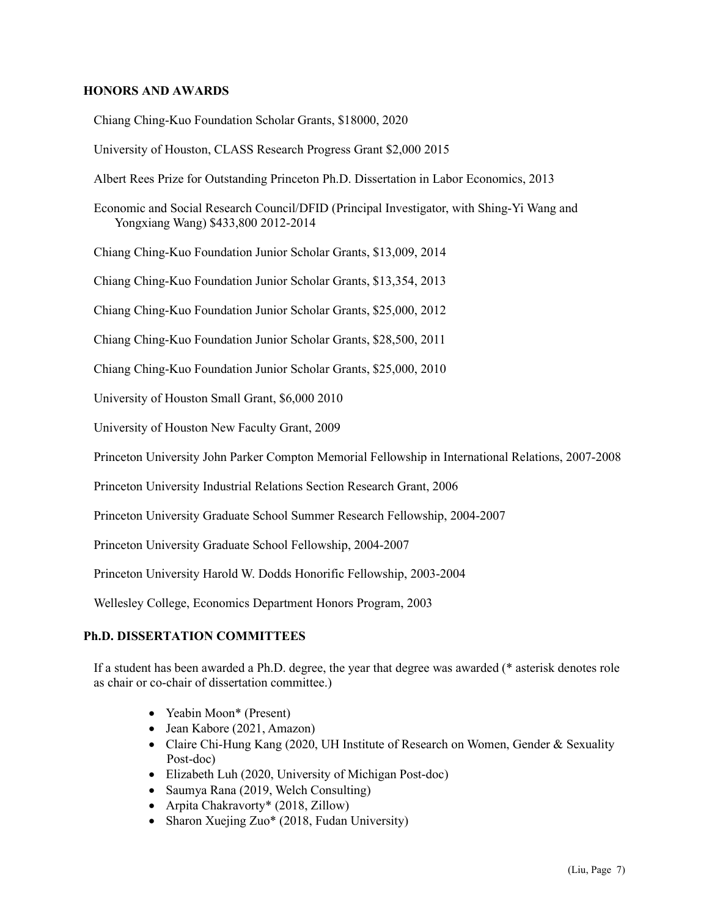### **HONORS AND AWARDS**

Chiang Ching-Kuo Foundation Scholar Grants, \$18000, 2020

University of Houston, CLASS Research Progress Grant \$2,000 2015

Albert Rees Prize for Outstanding Princeton Ph.D. Dissertation in Labor Economics, 2013

Economic and Social Research Council/DFID (Principal Investigator, with Shing-Yi Wang and Yongxiang Wang) \$433,800 2012-2014

Chiang Ching-Kuo Foundation Junior Scholar Grants, \$13,009, 2014

Chiang Ching-Kuo Foundation Junior Scholar Grants, \$13,354, 2013

Chiang Ching-Kuo Foundation Junior Scholar Grants, \$25,000, 2012

Chiang Ching-Kuo Foundation Junior Scholar Grants, \$28,500, 2011

Chiang Ching-Kuo Foundation Junior Scholar Grants, \$25,000, 2010

University of Houston Small Grant, \$6,000 2010

University of Houston New Faculty Grant, 2009

Princeton University John Parker Compton Memorial Fellowship in International Relations, 2007-2008

Princeton University Industrial Relations Section Research Grant, 2006

Princeton University Graduate School Summer Research Fellowship, 2004-2007

Princeton University Graduate School Fellowship, 2004-2007

Princeton University Harold W. Dodds Honorific Fellowship, 2003-2004

Wellesley College, Economics Department Honors Program, 2003

#### **Ph.D. DISSERTATION COMMITTEES**

If a student has been awarded a Ph.D. degree, the year that degree was awarded (\* asterisk denotes role as chair or co-chair of dissertation committee.)

- Yeabin Moon\* (Present)
- Jean Kabore (2021, Amazon)
- Claire Chi-Hung Kang (2020, UH Institute of Research on Women, Gender & Sexuality Post-doc)
- Elizabeth Luh (2020, University of Michigan Post-doc)
- Saumya Rana (2019, Welch Consulting)
- Arpita Chakravorty\* (2018, Zillow)
- Sharon Xuejing Zuo<sup>\*</sup> (2018, Fudan University)